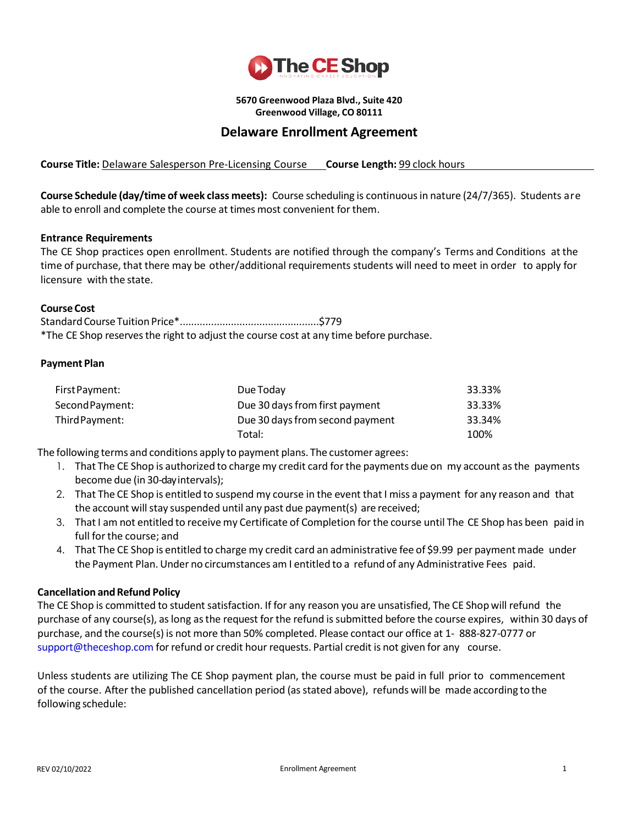

**5670 Greenwood Plaza Blvd., Suite 420 Greenwood Village, CO 80111**

# **Delaware Enrollment Agreement**

**Course Title:** Delaware Salesperson Pre-Licensing Course **Course Length:** 99 clock hours

**Course Schedule (day/time of week class meets):** Course scheduling is continuousin nature (24/7/365). Students are able to enroll and complete the course at times most convenient for them.

### **Entrance Requirements**

The CE Shop practices open enrollment. Students are notified through the company's Terms and Conditions at the time of purchase, that there may be other/additional requirements students will need to meet in order to apply for licensure with the state.

#### **Course Cost**

StandardCourseTuition Price\*.................................................\$779 \*The CE Shop reservesthe right to adjust the course cost at any time before purchase.

### **Payment Plan**

| First Payment:  | Due Today                       | 33.33% |
|-----------------|---------------------------------|--------|
| Second Payment: | Due 30 days from first payment  | 33.33% |
| Third Payment:  | Due 30 days from second payment | 33.34% |
|                 | Total:                          | 100%   |

The following terms and conditions apply to payment plans. The customer agrees:

- 1. That The CE Shop is authorized to charge my credit card forthe payments due on my account asthe payments become due (in 30-dayintervals);
- 2. That The CE Shop is entitled to suspend my course in the event that I miss a payment for any reason and that the account will stay suspended until any past due payment(s) are received;
- 3. That I am not entitled to receive my Certificate of Completion for the course until The CE Shop has been paid in full forthe course; and
- 4. That The CE Shop is entitled to charge my credit card an administrative fee of \$9.99 per payment made under the Payment Plan.Under no circumstances am I entitled to a refund of any Administrative Fees paid.

### **Cancellation and Refund Policy**

The CE Shop is committed to student satisfaction. If for any reason you are unsatisfied, The CE Shop will refund the purchase of any course(s), aslong asthe request forthe refund issubmitted before the course expires, within 30 days of purchase, and the course(s) is not more than 50% completed. Please contact our office at 1- 888-827-0777 or [support@theceshop.com](mailto:support@theceshop.com) for refund or credit hour requests. Partial credit is not given for any course.

Unless students are utilizing The CE Shop payment plan, the course must be paid in full prior to commencement of the course. After the published cancellation period (asstated above), refunds will be made according to the following schedule: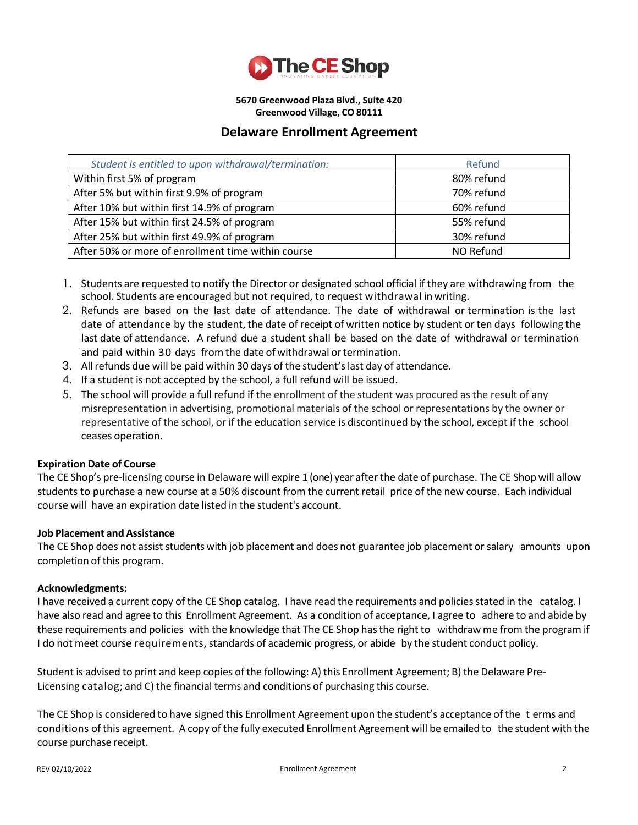

**5670 Greenwood Plaza Blvd., Suite 420 Greenwood Village, CO 80111**

## **Delaware Enrollment Agreement**

| Student is entitled to upon withdrawal/termination: | Refund     |
|-----------------------------------------------------|------------|
| Within first 5% of program                          | 80% refund |
| After 5% but within first 9.9% of program           | 70% refund |
| After 10% but within first 14.9% of program         | 60% refund |
| After 15% but within first 24.5% of program         | 55% refund |
| After 25% but within first 49.9% of program         | 30% refund |
| After 50% or more of enrollment time within course  | NO Refund  |

- 1. Students are requested to notify the Director or designated school official if they are withdrawing from the school. Students are encouraged but not required, to request withdrawal inwriting.
- 2. Refunds are based on the last date of attendance. The date of withdrawal or termination is the last date of attendance by the student, the date of receipt of written notice by student or ten days following the last date of attendance. A refund due a student shall be based on the date of withdrawal or termination and paid within 30 days from the date of withdrawal or termination.
- 3. Allrefunds due will be paid within 30 days of the student'slast day of attendance.
- 4. If a student is not accepted by the school, a full refund will be issued.
- 5. The school will provide a full refund if the enrollment of the student was procured as the result of any misrepresentation in advertising, promotional materials of the school or representations by the owner or representative of the school, or if the education service is discontinued by the school, except if the school ceases operation.

### **Expiration Date of Course**

The CE Shop's pre-licensing course in Delaware will expire 1 (one) year after the date of purchase. The CE Shop will allow students to purchase a new course at a 50% discount from the current retail price of the new course. Each individual course will have an expiration date listed in the student's account.

### **Job Placement and Assistance**

The CE Shop does not assist students with job placement and does not guarantee job placement or salary amounts upon completion of this program.

### **Acknowledgments:**

I have received a current copy of the CE Shop catalog. I have read the requirements and policiesstated in the catalog. I have also read and agree to this Enrollment Agreement. As a condition of acceptance, I agree to adhere to and abide by these requirements and policies with the knowledge that The CE Shop hasthe right to withdraw me from the program if I do not meet course requirements, standards of academic progress, or abide by the student conduct policy.

Student is advised to print and keep copies of the following: A) this Enrollment Agreement; B) the Delaware Pre-Licensing catalog; and C) the financial terms and conditions of purchasing this course.

The CE Shop is considered to have signed this Enrollment Agreement upon the student's acceptance of the t erms and conditions of this agreement. A copy of the fully executed Enrollment Agreement will be emailed to the student with the course purchase receipt.